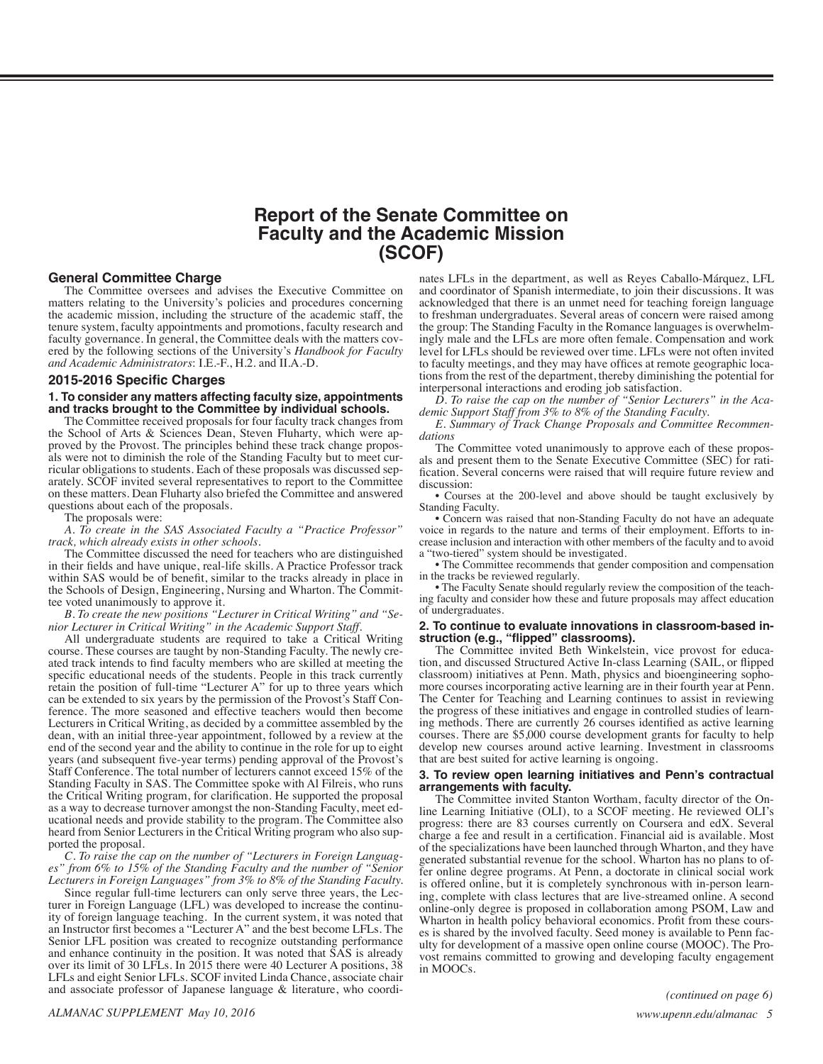### **Report of the Senate Committee on Faculty and the Academic Mission (SCOF)**

#### <span id="page-0-0"></span>**General Committee Charge**

The Committee oversees and advises the Executive Committee on matters relating to the University's policies and procedures concerning the academic mission, including the structure of the academic staff, the tenure system, faculty appointments and promotions, faculty research and faculty governance. In general, the Committee deals with the matters covered by the following sections of the University's *Handbook for Faculty and Academic Administrators*: I.E.-F., H.2. and II.A.-D.

#### **2015-2016 Specific Charges**

#### **1. To consider any matters affecting faculty size, appointments and tracks brought to the Committee by individual schools.**

The Committee received proposals for four faculty track changes from the School of Arts & Sciences Dean, Steven Fluharty, which were approved by the Provost. The principles behind these track change proposals were not to diminish the role of the Standing Faculty but to meet curricular obligations to students. Each of these proposals was discussed separate on these matters. Dean Fluharty also briefed the Committee and answered questions about each of the proposals.

The proposals were:

*A. To create in the SAS Associated Faculty a "Practice Professor" track, which already exists in other schools.*

The Committee discussed the need for teachers who are distinguished in their fields and have unique, real-life skills. A Practice Professor track within SAS would be of benefit, similar to the tracks already in place in the Schools of Design, Engineering, Nursing and Wharton. The Commit- tee voted unanimously to approve it.

*B. To create the new positions "Lecturer in Critical Writing" and "Se- nior Lecturer in Critical Writing" in the Academic Support Staff.*

All undergraduate students are required to take a Critical Writing course. These courses are taught by non-Standing Faculty. The newly cre- ated track intends to find faculty members who are skilled at meeting the specific educational needs of the students. People in this track currently retain the position of full-time "Lecturer A" for up to three years which can be extended to six years by the permission of the Provost's Staff Con- ference. The more seasoned and effective teachers would then become Lecturers in Critical Writing, as decided by a committee assembled by the dean, with an initial three-year appointment, followed by a review at the end of the second year and the ability to continue in the role for up to eight years (and subsequent five-year terms) pending approval of the Provost's Staff Conference. The total number of lecturers cannot exceed 15% of the Standing Faculty in SAS. The Committee spoke with Al Filreis, who runs the Critical Writing program, for clarification. He supported the proposal as a way to decrease turnover amongst the non-Standing Faculty, meet educational needs and provide stability to the program. The Committee also heard from Senior Lecturers in the Critical Writing program who also supported the proposal.

*C. To raise the cap on the number of "Lecturers in Foreign Languages" from 6% to 15% of the Standing Faculty and the number of "Senior Lecturers in Foreign Languages" from 3% to 8% of the Standing Faculty.*

Since regular full-time lecturers can only serve three years, the Lecturer in Foreign Language (LFL) was developed to increase the continuity of foreign language teaching. In the current system, it was noted that an Instructor first becomes a "Lecturer A" and the best become LFLs. The Senior LFL position was created to recognize outstanding performance and enhance continuity in the position. It was noted that SAS is already over its limit of 30 LFLs. In 2015 there were 40 Lecturer A positions, 38 LFLs and eight Senior LFLs. SCOF invited Linda Chance, associate chair and associate professor of Japanese language & literature, who coordi-

nates LFLs in the department, as well as Reyes Caballo-Márquez, LFL and coordinator of Spanish intermediate, to join their discussions. It was acknowledged that there is an unmet need for teaching foreign language to freshman undergraduates. Several areas of concern were raised among the group: The Standing Faculty in the Romance languages is overwhelmingly male and the LFLs are more often female. Compensation and work level for LFLs should be reviewed over time. LFLs were not often invited to faculty meetings, and they may have offices at remote geographic locations from the rest of the department, thereby diminishing the potential for interpersonal interactions and eroding job satisfaction.

*D. To raise the cap on the number of "Senior Lecturers" in the Academic Support Staff from 3% to 8% of the Standing Faculty.*

*E. Summary of Track Change Proposals and Committee Recommendations*

The Committee voted unanimously to approve each of these proposals and present them to the Senate Executive Committee (SEC) for ratification. Several concerns were raised that will require future review and discussion:

• Courses at the 200-level and above should be taught exclusively by Standing Faculty.

• Concern was raised that non-Standing Faculty do not have an adequate voice in regards to the nature and terms of their employment. Efforts to increase inclusion and interaction with other members of the faculty and to avoid a "two-tiered" system should be investigated.

• The Committee recommends that gender composition and compensation in the tracks be reviewed regularly.

• The Faculty Senate should regularly review the composition of the teaching faculty and consider how these and future proposals may affect education of undergraduates.

# **2. To continue to evaluate innovations in classroom-based in- struction (e.g., "flipped" classrooms).**

tion, and discussed Structured Active In-class Learning (SAIL, or flipped classroom) initiatives at Penn. Math, physics and bioengineering sophomore courses incorporating active learning are in their fourth year at Penn. The Center for Teaching and Learning continues to assist in reviewing the progress of these initiatives and engage in controlled studies of learning methods. There are currently 26 courses identified as active learning courses. There are \$5,000 course development grants for faculty to help develop new courses around active learning. Investment in classrooms that are best suited for active learning is ongoing.

# **3. To review open learning initiatives and Penn's contractual**

**arrangements with faculty.**<br>The Committee invited Stanton Wortham, faculty director of the Online Learning Initiative (OLI), to a SCOF meeting. He reviewed OLI's progress: there are 83 courses currently on Coursera and edX. Several charge a fee and result in a certification. Financial aid is available. Most of the specializations have been launched through Wharton, and they have generated substantial revenue for the school. Wharton has no plans to offer online degree programs. At Penn, a doctorate in clinical social work is offered online, but it is completely synchronous with in-person learning, complete with class lectures that are live-streamed online. A second online-only degree is proposed in collaboration among PSOM, Law and es is shared by the involved faculty. Seed money is available to Penn faculty for development of a massive open online course (MOOC). The Provost remains committed to growing and developing faculty engagement in MOOCs.